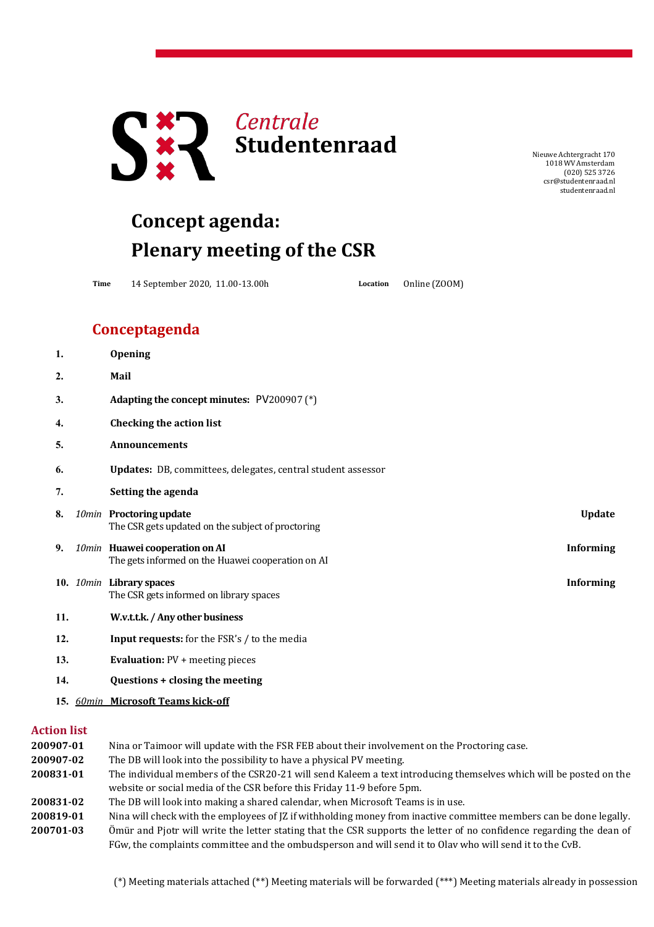

NieuweAchtergracht 170 1018 WV Amsterdam (020) 525 3726 [csr@studentenraad.nl](mailto:csr@studentenraad.nl) studentenraad.nl

## **Concept agenda: Plenary meeting of the CSR**

**Time** 14 September 2020, 11.00-13.00h **Location** Online (ZOOM)

## **Conceptagenda**

| 1.               | Opening                                                                                                 |
|------------------|---------------------------------------------------------------------------------------------------------|
| $\overline{2}$ . | Mail                                                                                                    |
| 3.               | Adapting the concept minutes: PV200907 (*)                                                              |
| 4.               | <b>Checking the action list</b>                                                                         |
| 5.               | <b>Announcements</b>                                                                                    |
| 6.               | Updates: DB, committees, delegates, central student assessor                                            |
| 7.               | Setting the agenda                                                                                      |
| 8.               | 10min Proctoring update<br><b>Update</b><br>The CSR gets updated on the subject of proctoring           |
| 9.               | 10min Huawei cooperation on AI<br><b>Informing</b><br>The gets informed on the Huawei cooperation on AI |
|                  | 10. 10min Library spaces<br><b>Informing</b><br>The CSR gets informed on library spaces                 |
| 11.              | W.v.t.t.k. / Any other business                                                                         |
| 12.              | Input requests: for the FSR's / to the media                                                            |
| 13.              | <b>Evaluation: PV + meeting pieces</b>                                                                  |
| 14.              | Questions + closing the meeting                                                                         |

**15.** *60min* **Microsoft Teams kick-off**

## **Action list**

| 200907-01 | Nina or Taimoor will update with the FSR FEB about their involvement on the Proctoring case.                         |
|-----------|----------------------------------------------------------------------------------------------------------------------|
| 200907-02 | The DB will look into the possibility to have a physical PV meeting.                                                 |
| 200831-01 | The individual members of the CSR20-21 will send Kaleem a text introducing themselves which will be posted on the    |
|           | website or social media of the CSR before this Friday 11-9 before 5pm.                                               |
| 200831-02 | The DB will look into making a shared calendar, when Microsoft Teams is in use.                                      |
| 200819-01 | Nina will check with the employees of JZ if withholding money from inactive committee members can be done legally.   |
| 200701-03 | Ömür and Pjotr will write the letter stating that the CSR supports the letter of no confidence regarding the dean of |
|           | FGw, the complaints committee and the ombudsperson and will send it to Olav who will send it to the CvB.             |